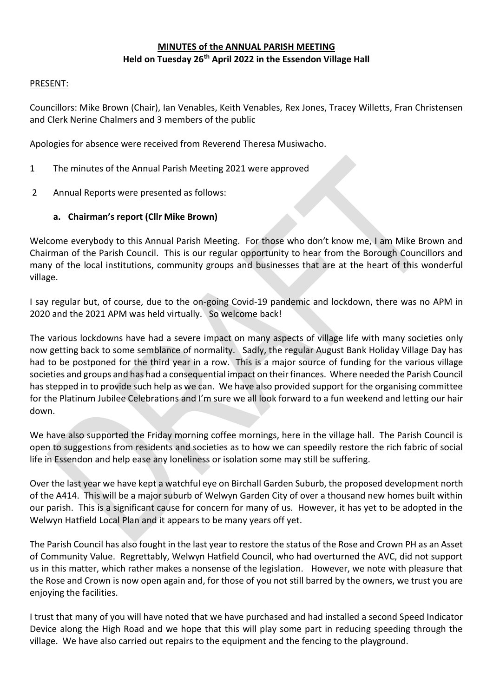## **MINUTES of the ANNUAL PARISH MEETING Held on Tuesday 26th April 2022 in the Essendon Village Hall**

#### PRESENT:

Councillors: Mike Brown (Chair), Ian Venables, Keith Venables, Rex Jones, Tracey Willetts, Fran Christensen and Clerk Nerine Chalmers and 3 members of the public

Apologies for absence were received from Reverend Theresa Musiwacho.

- 1 The minutes of the Annual Parish Meeting 2021 were approved
- 2 Annual Reports were presented as follows:

### **a. Chairman's report (Cllr Mike Brown)**

Welcome everybody to this Annual Parish Meeting. For those who don't know me, I am Mike Brown and Chairman of the Parish Council. This is our regular opportunity to hear from the Borough Councillors and many of the local institutions, community groups and businesses that are at the heart of this wonderful village.

I say regular but, of course, due to the on-going Covid-19 pandemic and lockdown, there was no APM in 2020 and the 2021 APM was held virtually. So welcome back!

The various lockdowns have had a severe impact on many aspects of village life with many societies only now getting back to some semblance of normality. Sadly, the regular August Bank Holiday Village Day has had to be postponed for the third year in a row. This is a major source of funding for the various village societies and groups and has had a consequential impact on their finances. Where needed the Parish Council has stepped in to provide such help as we can. We have also provided support for the organising committee for the Platinum Jubilee Celebrations and I'm sure we all look forward to a fun weekend and letting our hair down.

We have also supported the Friday morning coffee mornings, here in the village hall. The Parish Council is open to suggestions from residents and societies as to how we can speedily restore the rich fabric of social life in Essendon and help ease any loneliness or isolation some may still be suffering.

Over the last year we have kept a watchful eye on Birchall Garden Suburb, the proposed development north of the A414. This will be a major suburb of Welwyn Garden City of over a thousand new homes built within our parish. This is a significant cause for concern for many of us. However, it has yet to be adopted in the Welwyn Hatfield Local Plan and it appears to be many years off yet.

The Parish Council has also fought in the last year to restore the status of the Rose and Crown PH as an Asset of Community Value. Regrettably, Welwyn Hatfield Council, who had overturned the AVC, did not support us in this matter, which rather makes a nonsense of the legislation. However, we note with pleasure that the Rose and Crown is now open again and, for those of you not still barred by the owners, we trust you are enjoying the facilities.

I trust that many of you will have noted that we have purchased and had installed a second Speed Indicator Device along the High Road and we hope that this will play some part in reducing speeding through the village. We have also carried out repairs to the equipment and the fencing to the playground.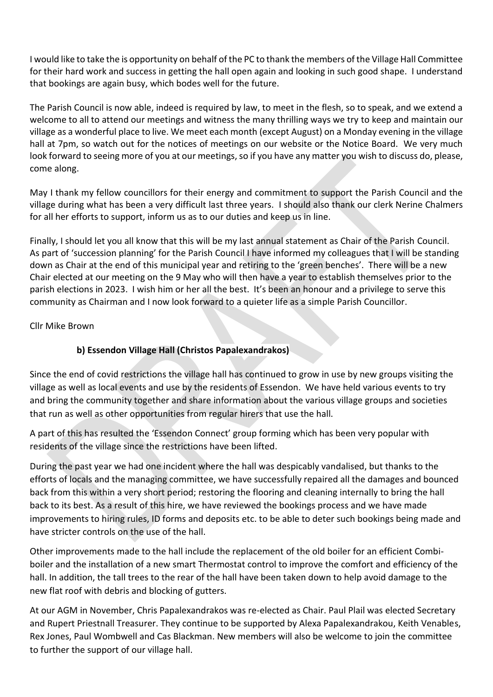I would like to take the is opportunity on behalf of the PC to thank the members of the Village Hall Committee for their hard work and success in getting the hall open again and looking in such good shape. I understand that bookings are again busy, which bodes well for the future.

The Parish Council is now able, indeed is required by law, to meet in the flesh, so to speak, and we extend a welcome to all to attend our meetings and witness the many thrilling ways we try to keep and maintain our village as a wonderful place to live. We meet each month (except August) on a Monday evening in the village hall at 7pm, so watch out for the notices of meetings on our website or the Notice Board. We very much look forward to seeing more of you at our meetings, so if you have any matter you wish to discuss do, please, come along.

May I thank my fellow councillors for their energy and commitment to support the Parish Council and the village during what has been a very difficult last three years. I should also thank our clerk Nerine Chalmers for all her efforts to support, inform us as to our duties and keep us in line.

Finally, I should let you all know that this will be my last annual statement as Chair of the Parish Council. As part of 'succession planning' for the Parish Council I have informed my colleagues that I will be standing down as Chair at the end of this municipal year and retiring to the 'green benches'. There will be a new Chair elected at our meeting on the 9 May who will then have a year to establish themselves prior to the parish elections in 2023. I wish him or her all the best. It's been an honour and a privilege to serve this community as Chairman and I now look forward to a quieter life as a simple Parish Councillor.

Cllr Mike Brown

# **b) Essendon Village Hall (Christos Papalexandrakos)**

Since the end of covid restrictions the village hall has continued to grow in use by new groups visiting the village as well as local events and use by the residents of Essendon. We have held various events to try and bring the community together and share information about the various village groups and societies that run as well as other opportunities from regular hirers that use the hall.

A part of this has resulted the 'Essendon Connect' group forming which has been very popular with residents of the village since the restrictions have been lifted.

During the past year we had one incident where the hall was despicably vandalised, but thanks to the efforts of locals and the managing committee, we have successfully repaired all the damages and bounced back from this within a very short period; restoring the flooring and cleaning internally to bring the hall back to its best. As a result of this hire, we have reviewed the bookings process and we have made improvements to hiring rules, ID forms and deposits etc. to be able to deter such bookings being made and have stricter controls on the use of the hall.

Other improvements made to the hall include the replacement of the old boiler for an efficient Combiboiler and the installation of a new smart Thermostat control to improve the comfort and efficiency of the hall. In addition, the tall trees to the rear of the hall have been taken down to help avoid damage to the new flat roof with debris and blocking of gutters.

At our AGM in November, Chris Papalexandrakos was re-elected as Chair. Paul Plail was elected Secretary and Rupert Priestnall Treasurer. They continue to be supported by Alexa Papalexandrakou, Keith Venables, Rex Jones, Paul Wombwell and Cas Blackman. New members will also be welcome to join the committee to further the support of our village hall.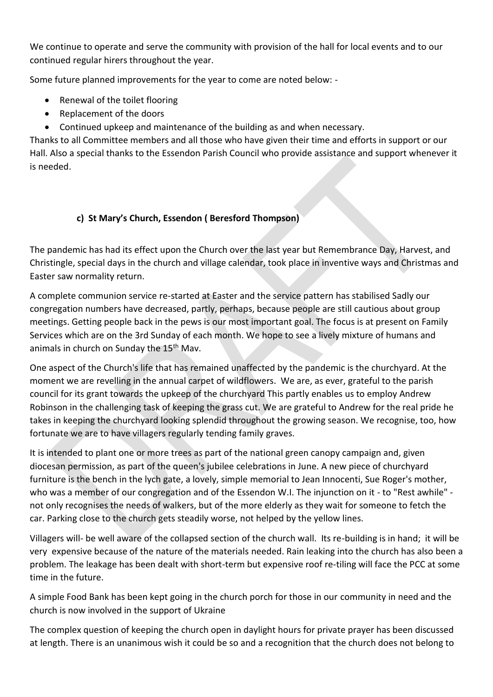We continue to operate and serve the community with provision of the hall for local events and to our continued regular hirers throughout the year.

Some future planned improvements for the year to come are noted below: -

- Renewal of the toilet flooring
- Replacement of the doors
- Continued upkeep and maintenance of the building as and when necessary.

Thanks to all Committee members and all those who have given their time and efforts in support or our Hall. Also a special thanks to the Essendon Parish Council who provide assistance and support whenever it is needed.

# **c) St Mary's Church, Essendon ( Beresford Thompson)**

The pandemic has had its effect upon the Church over the last year but Remembrance Day, Harvest, and Christingle, special days in the church and village calendar, took place in inventive ways and Christmas and Easter saw normality return.

A complete communion service re-started at Easter and the service pattern has stabilised Sadly our congregation numbers have decreased, partly, perhaps, because people are still cautious about group meetings. Getting people back in the pews is our most important goal. The focus is at present on Family Services which are on the 3rd Sunday of each month. We hope to see a lively mixture of humans and animals in church on Sunday the 15<sup>th</sup> Mav.

One aspect of the Church's life that has remained unaffected by the pandemic is the churchyard. At the moment we are revelling in the annual carpet of wildflowers. We are, as ever, grateful to the parish council for its grant towards the upkeep of the churchyard This partly enables us to employ Andrew Robinson in the challenging task of keeping the grass cut. We are grateful to Andrew for the real pride he takes in keeping the churchyard looking splendid throughout the growing season. We recognise, too, how fortunate we are to have villagers regularly tending family graves.

It is intended to plant one or more trees as part of the national green canopy campaign and, given diocesan permission, as part of the queen's jubilee celebrations in June. A new piece of churchyard furniture is the bench in the lych gate, a lovely, simple memorial to Jean Innocenti, Sue Roger's mother, who was a member of our congregation and of the Essendon W.I. The injunction on it - to "Rest awhile" not only recognises the needs of walkers, but of the more elderly as they wait for someone to fetch the car. Parking close to the church gets steadily worse, not helped by the yellow lines.

Villagers will- be well aware of the collapsed section of the church wall. Its re-building is in hand; it will be very expensive because of the nature of the materials needed. Rain leaking into the church has also been a problem. The leakage has been dealt with short-term but expensive roof re-tiling will face the PCC at some time in the future.

A simple Food Bank has been kept going in the church porch for those in our community in need and the church is now involved in the support of Ukraine

The complex question of keeping the church open in daylight hours for private prayer has been discussed at length. There is an unanimous wish it could be so and a recognition that the church does not belong to